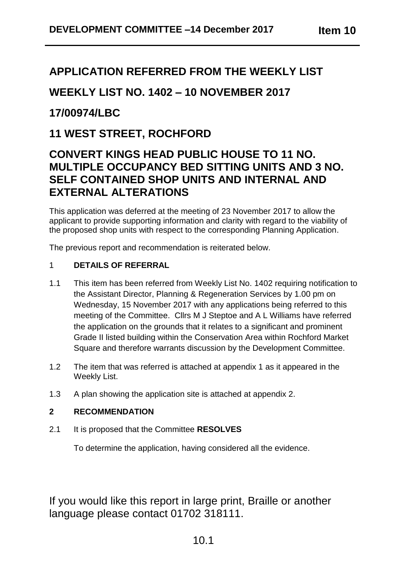# **APPLICATION REFERRED FROM THE WEEKLY LIST**

# **WEEKLY LIST NO. 1402 – 10 NOVEMBER 2017**

# **17/00974/LBC**

## **11 WEST STREET, ROCHFORD**

# **CONVERT KINGS HEAD PUBLIC HOUSE TO 11 NO. MULTIPLE OCCUPANCY BED SITTING UNITS AND 3 NO. SELF CONTAINED SHOP UNITS AND INTERNAL AND EXTERNAL ALTERATIONS**

This application was deferred at the meeting of 23 November 2017 to allow the applicant to provide supporting information and clarity with regard to the viability of the proposed shop units with respect to the corresponding Planning Application.

The previous report and recommendation is reiterated below.

### 1 **DETAILS OF REFERRAL**

- 1.1 This item has been referred from Weekly List No. 1402 requiring notification to the Assistant Director, Planning & Regeneration Services by 1.00 pm on Wednesday, 15 November 2017 with any applications being referred to this meeting of the Committee. Cllrs M J Steptoe and A L Williams have referred the application on the grounds that it relates to a significant and prominent Grade II listed building within the Conservation Area within Rochford Market Square and therefore warrants discussion by the Development Committee.
- 1.2 The item that was referred is attached at appendix 1 as it appeared in the Weekly List.
- 1.3 A plan showing the application site is attached at appendix 2.

### **2 RECOMMENDATION**

2.1 It is proposed that the Committee **RESOLVES**

To determine the application, having considered all the evidence.

If you would like this report in large print, Braille or another language please contact 01702 318111.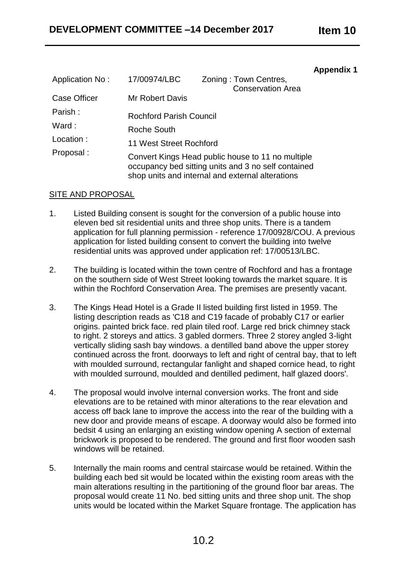#### **Appendix 1**

| Application No:                      | 17/00974/LBC                                                                                                                                                 | Zoning: Town Centres,<br><b>Conservation Area</b> |
|--------------------------------------|--------------------------------------------------------------------------------------------------------------------------------------------------------------|---------------------------------------------------|
| <b>Case Officer</b>                  | Mr Robert Davis                                                                                                                                              |                                                   |
| Parish:                              | <b>Rochford Parish Council</b>                                                                                                                               |                                                   |
| Ward:                                | Roche South                                                                                                                                                  |                                                   |
| Location:<br>11 West Street Rochford |                                                                                                                                                              |                                                   |
| Proposal:                            | Convert Kings Head public house to 11 no multiple<br>occupancy bed sitting units and 3 no self contained<br>shop units and internal and external alterations |                                                   |

### SITE AND PROPOSAL

- 1. Listed Building consent is sought for the conversion of a public house into eleven bed sit residential units and three shop units. There is a tandem application for full planning permission - reference 17/00928/COU. A previous application for listed building consent to convert the building into twelve residential units was approved under application ref: 17/00513/LBC.
- 2. The building is located within the town centre of Rochford and has a frontage on the southern side of West Street looking towards the market square. It is within the Rochford Conservation Area. The premises are presently vacant.
- 3. The Kings Head Hotel is a Grade II listed building first listed in 1959. The listing description reads as 'C18 and C19 facade of probably C17 or earlier origins. painted brick face. red plain tiled roof. Large red brick chimney stack to right. 2 storeys and attics. 3 gabled dormers. Three 2 storey angled 3-light vertically sliding sash bay windows. a dentilled band above the upper storey continued across the front. doorways to left and right of central bay, that to left with moulded surround, rectangular fanlight and shaped cornice head, to right with moulded surround, moulded and dentilled pediment, half glazed doors'.
- 4. The proposal would involve internal conversion works. The front and side elevations are to be retained with minor alterations to the rear elevation and access off back lane to improve the access into the rear of the building with a new door and provide means of escape. A doorway would also be formed into bedsit 4 using an enlarging an existing window opening A section of external brickwork is proposed to be rendered. The ground and first floor wooden sash windows will be retained.
- 5. Internally the main rooms and central staircase would be retained. Within the building each bed sit would be located within the existing room areas with the main alterations resulting in the partitioning of the ground floor bar areas. The proposal would create 11 No. bed sitting units and three shop unit. The shop units would be located within the Market Square frontage. The application has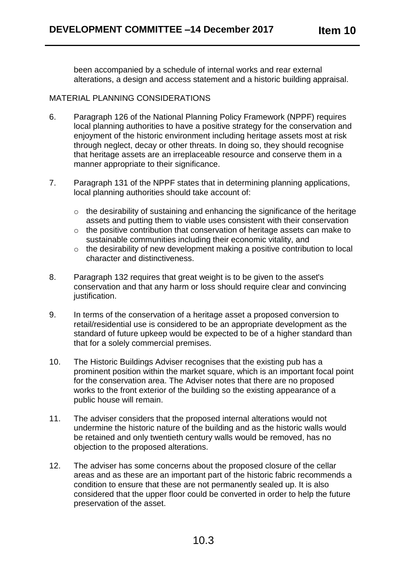been accompanied by a schedule of internal works and rear external alterations, a design and access statement and a historic building appraisal.

### MATERIAL PLANNING CONSIDERATIONS

- 6. Paragraph 126 of the National Planning Policy Framework (NPPF) requires local planning authorities to have a positive strategy for the conservation and enjoyment of the historic environment including heritage assets most at risk through neglect, decay or other threats. In doing so, they should recognise that heritage assets are an irreplaceable resource and conserve them in a manner appropriate to their significance.
- 7. Paragraph 131 of the NPPF states that in determining planning applications, local planning authorities should take account of:
	- o the desirability of sustaining and enhancing the significance of the heritage assets and putting them to viable uses consistent with their conservation
	- o the positive contribution that conservation of heritage assets can make to sustainable communities including their economic vitality, and
	- o the desirability of new development making a positive contribution to local character and distinctiveness.
- 8. Paragraph 132 requires that great weight is to be given to the asset's conservation and that any harm or loss should require clear and convincing justification.
- 9. In terms of the conservation of a heritage asset a proposed conversion to retail/residential use is considered to be an appropriate development as the standard of future upkeep would be expected to be of a higher standard than that for a solely commercial premises.
- 10. The Historic Buildings Adviser recognises that the existing pub has a prominent position within the market square, which is an important focal point for the conservation area. The Adviser notes that there are no proposed works to the front exterior of the building so the existing appearance of a public house will remain.
- 11. The adviser considers that the proposed internal alterations would not undermine the historic nature of the building and as the historic walls would be retained and only twentieth century walls would be removed, has no objection to the proposed alterations.
- 12. The adviser has some concerns about the proposed closure of the cellar areas and as these are an important part of the historic fabric recommends a condition to ensure that these are not permanently sealed up. It is also considered that the upper floor could be converted in order to help the future preservation of the asset.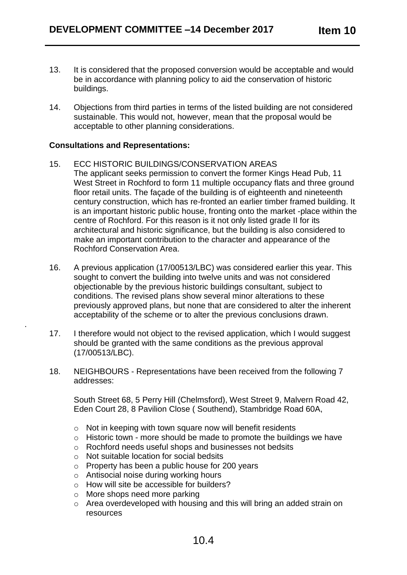- 13. It is considered that the proposed conversion would be acceptable and would be in accordance with planning policy to aid the conservation of historic buildings.
- 14. Objections from third parties in terms of the listed building are not considered sustainable. This would not, however, mean that the proposal would be acceptable to other planning considerations.

#### **Consultations and Representations:**

.

- 15. ECC HISTORIC BUILDINGS/CONSERVATION AREAS The applicant seeks permission to convert the former Kings Head Pub, 11 West Street in Rochford to form 11 multiple occupancy flats and three ground floor retail units. The façade of the building is of eighteenth and nineteenth century construction, which has re-fronted an earlier timber framed building. It is an important historic public house, fronting onto the market -place within the centre of Rochford. For this reason is it not only listed grade II for its architectural and historic significance, but the building is also considered to make an important contribution to the character and appearance of the Rochford Conservation Area.
- 16. A previous application (17/00513/LBC) was considered earlier this year. This sought to convert the building into twelve units and was not considered objectionable by the previous historic buildings consultant, subject to conditions. The revised plans show several minor alterations to these previously approved plans, but none that are considered to alter the inherent acceptability of the scheme or to alter the previous conclusions drawn.
- 17. I therefore would not object to the revised application, which I would suggest should be granted with the same conditions as the previous approval (17/00513/LBC).
- 18. NEIGHBOURS Representations have been received from the following 7 addresses:

South Street 68, 5 Perry Hill (Chelmsford), West Street 9, Malvern Road 42, Eden Court 28, 8 Pavilion Close ( Southend), Stambridge Road 60A,

- $\circ$  Not in keeping with town square now will benefit residents
- o Historic town more should be made to promote the buildings we have
- o Rochford needs useful shops and businesses not bedsits
- o Not suitable location for social bedsits
- o Property has been a public house for 200 years
- o Antisocial noise during working hours
- o How will site be accessible for builders?
- o More shops need more parking
- o Area overdeveloped with housing and this will bring an added strain on resources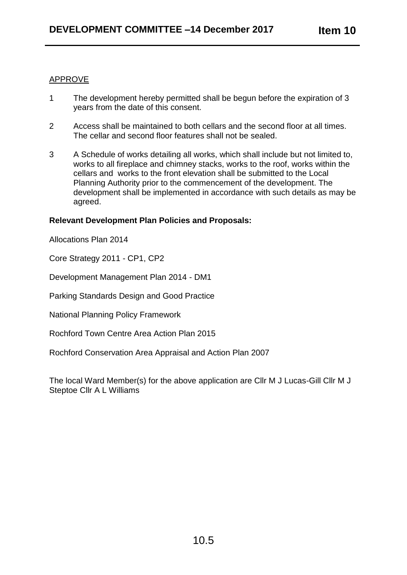### APPROVE

- 1 The development hereby permitted shall be begun before the expiration of 3 years from the date of this consent.
- 2 Access shall be maintained to both cellars and the second floor at all times. The cellar and second floor features shall not be sealed.
- 3 A Schedule of works detailing all works, which shall include but not limited to, works to all fireplace and chimney stacks, works to the roof, works within the cellars and works to the front elevation shall be submitted to the Local Planning Authority prior to the commencement of the development. The development shall be implemented in accordance with such details as may be agreed.

#### **Relevant Development Plan Policies and Proposals:**

Allocations Plan 2014

Core Strategy 2011 - CP1, CP2

Development Management Plan 2014 - DM1

Parking Standards Design and Good Practice

National Planning Policy Framework

Rochford Town Centre Area Action Plan 2015

Rochford Conservation Area Appraisal and Action Plan 2007

The local Ward Member(s) for the above application are Cllr M J Lucas-Gill Cllr M J Steptoe Cllr A L Williams